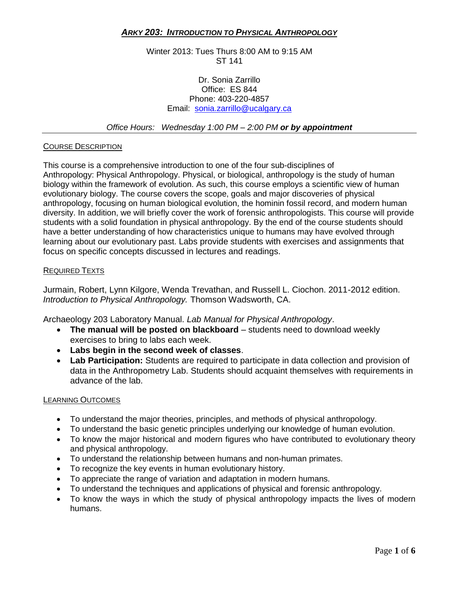# *ARKY 203: INTRODUCTION TO PHYSICAL ANTHROPOLOGY*

Winter 2013: Tues Thurs 8:00 AM to 9:15 AM ST 141

### Dr. Sonia Zarrillo Office: ES 844 Phone: 403-220-4857 Email: [sonia.zarrillo@ucalgary.ca](mailto:sonia.zarrillo@ucalgary.ca)

*Office Hours: Wednesday 1:00 PM – 2:00 PM or by appointment*

#### COURSE DESCRIPTION

This course is a comprehensive introduction to one of the four sub-disciplines of Anthropology: Physical Anthropology. Physical, or biological, anthropology is the study of human biology within the framework of evolution. As such, this course employs a scientific view of human evolutionary biology. The course covers the scope, goals and major discoveries of physical anthropology, focusing on human biological evolution, the hominin fossil record, and modern human diversity. In addition, we will briefly cover the work of forensic anthropologists. This course will provide students with a solid foundation in physical anthropology. By the end of the course students should have a better understanding of how characteristics unique to humans may have evolved through learning about our evolutionary past. Labs provide students with exercises and assignments that focus on specific concepts discussed in lectures and readings.

#### REQUIRED TEXTS

Jurmain, Robert, Lynn Kilgore, Wenda Trevathan, and Russell L. Ciochon. 2011-2012 edition. *Introduction to Physical Anthropology.* Thomson Wadsworth, CA.

Archaeology 203 Laboratory Manual. *Lab Manual for Physical Anthropology*.

- The manual will be posted on blackboard students need to download weekly exercises to bring to labs each week.
- **Labs begin in the second week of classes**.
- **Lab Participation:** Students are required to participate in data collection and provision of data in the Anthropometry Lab. Students should acquaint themselves with requirements in advance of the lab.

#### LEARNING OUTCOMES

- To understand the major theories, principles, and methods of physical anthropology.
- To understand the basic genetic principles underlying our knowledge of human evolution.
- To know the major historical and modern figures who have contributed to evolutionary theory and physical anthropology.
- To understand the relationship between humans and non-human primates.
- To recognize the key events in human evolutionary history.
- To appreciate the range of variation and adaptation in modern humans.
- To understand the techniques and applications of physical and forensic anthropology.
- To know the ways in which the study of physical anthropology impacts the lives of modern humans.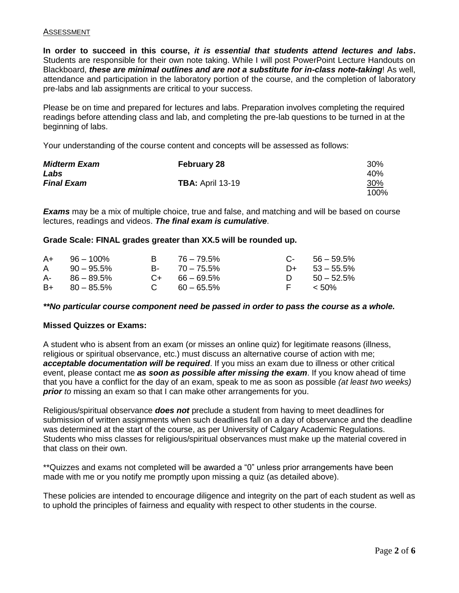### ASSESSMENT

**In order to succeed in this course,** *it is essential that students attend lectures and labs***.**  Students are responsible for their own note taking. While I will post PowerPoint Lecture Handouts on Blackboard, *these are minimal outlines and are not a substitute for in-class note-taking*! As well, attendance and participation in the laboratory portion of the course, and the completion of laboratory pre-labs and lab assignments are critical to your success.

Please be on time and prepared for lectures and labs. Preparation involves completing the required readings before attending class and lab, and completing the pre-lab questions to be turned in at the beginning of labs.

Your understanding of the course content and concepts will be assessed as follows:

| <b>Midterm Exam</b> | <b>February 28</b>      | 30%  |
|---------------------|-------------------------|------|
| Labs                |                         | 40%  |
| <b>Final Exam</b>   | <b>TBA:</b> April 13-19 | 30%  |
|                     |                         | 100% |

*Exams* may be a mix of multiple choice, true and false, and matching and will be based on course lectures, readings and videos. *The final exam is cumulative*.

#### **Grade Scale: FINAL grades greater than XX.5 will be rounded up.**

| $A+$ 96 - 100\%   | B 76 – 79.5%       | $C-56-59.5%$     |
|-------------------|--------------------|------------------|
| $A = 90 - 95.5\%$ | $B - 70 - 75.5\%$  | $D+ 53 - 55.5\%$ |
| $A - 86 - 89.5%$  | $C_{+}$ 66 – 69.5% | D $50 - 52.5\%$  |
| $B+ 80 - 85.5\%$  | $C = 60 - 65.5\%$  | F < 50%          |

#### *\*\*No particular course component need be passed in order to pass the course as a whole.*

#### **Missed Quizzes or Exams:**

A student who is absent from an exam (or misses an online quiz) for legitimate reasons (illness, religious or spiritual observance, etc.) must discuss an alternative course of action with me; *acceptable documentation will be required*. If you miss an exam due to illness or other critical event, please contact me *as soon as possible after missing the exam*. If you know ahead of time that you have a conflict for the day of an exam, speak to me as soon as possible *(at least two weeks) prior* to missing an exam so that I can make other arrangements for you.

Religious/spiritual observance *does not* preclude a student from having to meet deadlines for submission of written assignments when such deadlines fall on a day of observance and the deadline was determined at the start of the course, as per University of Calgary Academic Regulations. Students who miss classes for religious/spiritual observances must make up the material covered in that class on their own.

\*\*Quizzes and exams not completed will be awarded a "0" unless prior arrangements have been made with me or you notify me promptly upon missing a quiz (as detailed above).

These policies are intended to encourage diligence and integrity on the part of each student as well as to uphold the principles of fairness and equality with respect to other students in the course.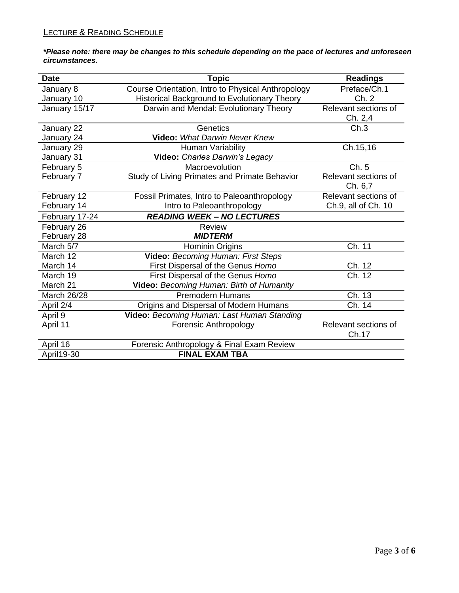*\*Please note: there may be changes to this schedule depending on the pace of lectures and unforeseen circumstances.* 

| <b>Date</b>    | <b>Topic</b>                                       | <b>Readings</b>      |
|----------------|----------------------------------------------------|----------------------|
| January 8      | Course Orientation, Intro to Physical Anthropology | Preface/Ch.1         |
| January 10     | Historical Background to Evolutionary Theory       | Ch. 2                |
| January 15/17  | Darwin and Mendal: Evolutionary Theory             | Relevant sections of |
|                |                                                    | Ch. 2,4              |
| January 22     | Genetics                                           | Ch.3                 |
| January 24     | <b>Video: What Darwin Never Knew</b>               |                      |
| January 29     | Human Variability                                  | Ch.15,16             |
| January 31     | Video: Charles Darwin's Legacy                     |                      |
| February 5     | Macroevolution                                     | Ch. 5                |
| February 7     | Study of Living Primates and Primate Behavior      | Relevant sections of |
|                |                                                    | Ch. 6,7              |
| February 12    | Fossil Primates, Intro to Paleoanthropology        | Relevant sections of |
| February 14    | Intro to Paleoanthropology                         | Ch.9, all of Ch. 10  |
| February 17-24 | <b>READING WEEK - NO LECTURES</b>                  |                      |
| February 26    | <b>Review</b>                                      |                      |
| February 28    | <b>MIDTERM</b>                                     |                      |
| March 5/7      | Hominin Origins                                    | Ch. 11               |
| March 12       | Video: Becoming Human: First Steps                 |                      |
| March 14       | First Dispersal of the Genus Homo                  | Ch. 12               |
| March 19       | First Dispersal of the Genus Homo                  | Ch. 12               |
| March 21       | Video: Becoming Human: Birth of Humanity           |                      |
| March 26/28    | <b>Premodern Humans</b>                            | Ch. 13               |
| April 2/4      | Origins and Dispersal of Modern Humans             | Ch. 14               |
| April 9        | Video: Becoming Human: Last Human Standing         |                      |
| April 11       | <b>Forensic Anthropology</b>                       | Relevant sections of |
|                |                                                    | Ch.17                |
| April 16       | Forensic Anthropology & Final Exam Review          |                      |
| April19-30     | <b>FINAL EXAM TBA</b>                              |                      |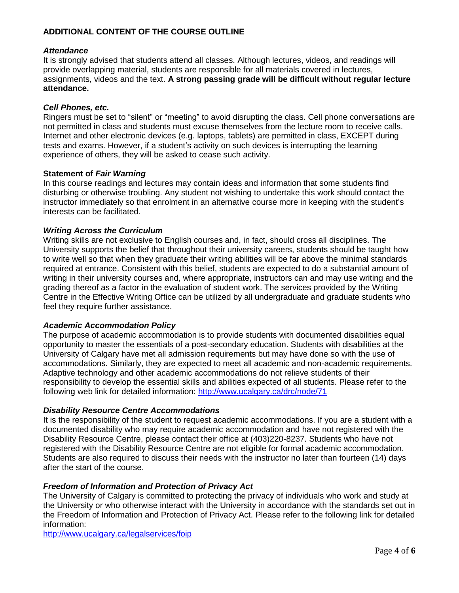# **ADDITIONAL CONTENT OF THE COURSE OUTLINE**

## *Attendance*

It is strongly advised that students attend all classes. Although lectures, videos, and readings will provide overlapping material, students are responsible for all materials covered in lectures, assignments, videos and the text. **A strong passing grade will be difficult without regular lecture attendance.**

# *Cell Phones, etc.*

Ringers must be set to "silent" or "meeting" to avoid disrupting the class. Cell phone conversations are not permitted in class and students must excuse themselves from the lecture room to receive calls. Internet and other electronic devices (e.g. laptops, tablets) are permitted in class, EXCEPT during tests and exams. However, if a student's activity on such devices is interrupting the learning experience of others, they will be asked to cease such activity.

## **Statement of** *Fair Warning*

In this course readings and lectures may contain ideas and information that some students find disturbing or otherwise troubling. Any student not wishing to undertake this work should contact the instructor immediately so that enrolment in an alternative course more in keeping with the student's interests can be facilitated.

# *Writing Across the Curriculum*

Writing skills are not exclusive to English courses and, in fact, should cross all disciplines. The University supports the belief that throughout their university careers, students should be taught how to write well so that when they graduate their writing abilities will be far above the minimal standards required at entrance. Consistent with this belief, students are expected to do a substantial amount of writing in their university courses and, where appropriate, instructors can and may use writing and the grading thereof as a factor in the evaluation of student work. The services provided by the Writing Centre in the Effective Writing Office can be utilized by all undergraduate and graduate students who feel they require further assistance.

## *Academic Accommodation Policy*

The purpose of academic accommodation is to provide students with documented disabilities equal opportunity to master the essentials of a post-secondary education. Students with disabilities at the University of Calgary have met all admission requirements but may have done so with the use of accommodations. Similarly, they are expected to meet all academic and non-academic requirements. Adaptive technology and other academic accommodations do not relieve students of their responsibility to develop the essential skills and abilities expected of all students. Please refer to the following web link for detailed information:<http://www.ucalgary.ca/drc/node/71>

## *Disability Resource Centre Accommodations*

It is the responsibility of the student to request academic accommodations. If you are a student with a documented disability who may require academic accommodation and have not registered with the Disability Resource Centre, please contact their office at (403)220-8237. Students who have not registered with the Disability Resource Centre are not eligible for formal academic accommodation. Students are also required to discuss their needs with the instructor no later than fourteen (14) days after the start of the course.

# *Freedom of Information and Protection of Privacy Act*

The University of Calgary is committed to protecting the privacy of individuals who work and study at the University or who otherwise interact with the University in accordance with the standards set out in the Freedom of Information and Protection of Privacy Act. Please refer to the following link for detailed information:

<http://www.ucalgary.ca/legalservices/foip>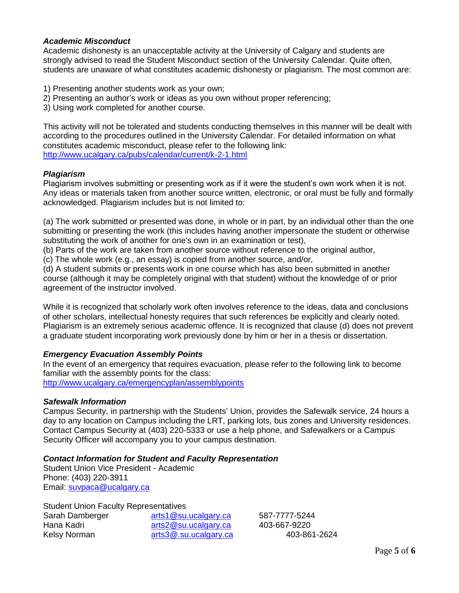# *Academic Misconduct*

Academic dishonesty is an unacceptable activity at the University of Calgary and students are strongly advised to read the Student Misconduct section of the University Calendar. Quite often, students are unaware of what constitutes academic dishonesty or plagiarism. The most common are:

- 1) Presenting another students work as your own;
- 2) Presenting an author's work or ideas as you own without proper referencing;
- 3) Using work completed for another course.

This activity will not be tolerated and students conducting themselves in this manner will be dealt with according to the procedures outlined in the University Calendar. For detailed information on what constitutes academic misconduct, please refer to the following link: <http://www.ucalgary.ca/pubs/calendar/current/k-2-1.html>

# *Plagiarism*

Plagiarism involves submitting or presenting work as if it were the student's own work when it is not. Any ideas or materials taken from another source written, electronic, or oral must be fully and formally acknowledged. Plagiarism includes but is not limited to:

(a) The work submitted or presented was done, in whole or in part, by an individual other than the one submitting or presenting the work (this includes having another impersonate the student or otherwise substituting the work of another for one's own in an examination or test),

(b) Parts of the work are taken from another source without reference to the original author,

(c) The whole work (e.g., an essay) is copied from another source, and/or,

(d) A student submits or presents work in one course which has also been submitted in another course (although it may be completely original with that student) without the knowledge of or prior agreement of the instructor involved.

While it is recognized that scholarly work often involves reference to the ideas, data and conclusions of other scholars, intellectual honesty requires that such references be explicitly and clearly noted. Plagiarism is an extremely serious academic offence. It is recognized that clause (d) does not prevent a graduate student incorporating work previously done by him or her in a thesis or dissertation.

# *Emergency Evacuation Assembly Points*

In the event of an emergency that requires evacuation, please refer to the following link to become familiar with the assembly points for the class: <http://www.ucalgary.ca/emergencyplan/assemblypoints>

## *Safewalk Information*

Campus Security, in partnership with the Students' Union, provides the Safewalk service, 24 hours a day to any location on Campus including the LRT, parking lots, bus zones and University residences. Contact Campus Security at (403) 220-5333 or use a help phone, and Safewalkers or a Campus Security Officer will accompany you to your campus destination.

# *Contact Information for Student and Faculty Representation*

Student Union Vice President - Academic Phone: (403) 220-3911 Email: [suvpaca@ucalgary.ca](mailto:suvpaca@ucalgary.ca)

Student Union Faculty Representatives

| Sarah Damberger | arts1@su.ucalgary.ca  |
|-----------------|-----------------------|
| Hana Kadri      | arts2@su.ucalgary.ca  |
| Kelsy Norman    | arts3@.su.ucalgary.ca |

587-7777-5244 403-667-9220 403-861-2624